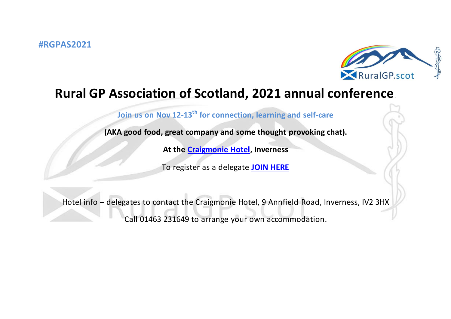

## **Rural GP Association of Scotland, 2021 annual conference**.

**Join us on Nov 12-13th for connection, learning and self-care**

**(AKA good food, great company and some thought provoking chat).**

**At the [Craigmonie Hotel,](https://www.craigmoniehotelinverness.co.uk/?utm_source=affilired&utm_medium=adn&utm_campaign=affiliates&utm_term=3817&_affclk=adn:3817::4e5ab184b5ff1c0aff18d0e64bdf72f3:8002y1) Inverness**

To register as a delegate **[JOIN HERE](https://www.eventbrite.co.uk/e/rgpas-annual-conference-2021-inverness-scotland-uk-in-person-online-tickets-188921337807?ref=estw)**

Hotel info – delegates to contact the Craigmonie Hotel, 9 Annfield Road, Inverness, IV2 3HX Call 01463 231649 to arrange your own accommodation.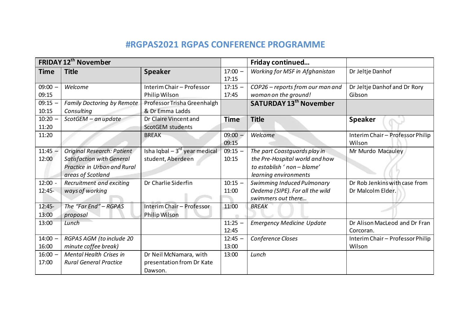## **#RGPAS2021 RGPAS CONFERENCE PROGRAMME**

| <b>FRIDAY 12th November</b> |                                  |                                   |                    | Friday continued                 |                                            |
|-----------------------------|----------------------------------|-----------------------------------|--------------------|----------------------------------|--------------------------------------------|
| <b>Time</b>                 | <b>Title</b>                     | <b>Speaker</b>                    | $17:00 -$<br>17:15 | Working for MSF in Afghanistan   | Dr Jeltje Danhof                           |
| $09:00 -$                   | Welcome                          | Interim Chair - Professor         | $17:15 -$          | COP26 - reports from our man and | Dr Jeltje Danhof and Dr Rory               |
| 09:15                       |                                  | Philip Wilson                     | 17:45              | woman on the ground!             | Gibson                                     |
| $09:15 -$                   | Family Doctoring by Remote       | Professor Trisha Greenhalgh       |                    | <b>SATURDAY 13th November</b>    |                                            |
| 10:15                       | Consulting                       | & Dr Emma Ladds                   |                    |                                  |                                            |
| $10:20 -$                   | $ScottGEM - an update$           | Dr Claire Vincent and             | <b>Time</b>        | <b>Title</b>                     | <b>Speaker</b>                             |
| 11:20                       |                                  | ScotGEM students                  |                    |                                  |                                            |
| 11:20                       |                                  | <b>BREAK</b>                      | $09:00 -$<br>09:15 | Welcome                          | Interim Chair - Professor Philip<br>Wilson |
| $11:45 -$                   | Original Research: Patient       | Isha Iqbal $-3^{rd}$ year medical | $09:15 -$          | The part Coastguards play in     | Mr Murdo Macauley                          |
| 12:00                       | <b>Satisfaction with General</b> | student, Aberdeen                 | 10:15              | the Pre-Hospital world and how   |                                            |
|                             | Practice in Urban and Rural      |                                   |                    | to establish ' non - blame'      |                                            |
|                             | areas of Scotland                |                                   |                    | learning environments            |                                            |
| $12:00 -$                   | Recruitment and exciting         | Dr Charlie Siderfin               | $10:15 -$          | Swimming Induced Pulmonary       | Dr Rob Jenkins with case from              |
| $12:45-$                    | ways of working                  |                                   | 11:00              | Oedema (SIPE). For all the wild  | Dr Malcolm Elder.                          |
|                             |                                  |                                   |                    | swimmers out there               |                                            |
| $12:45-$                    | The "Far End" - RGPAS            | Interim Chair - Professor         | 11:00              | <b>BREAK</b>                     |                                            |
| 13:00                       | proposal                         | Philip Wilson                     |                    |                                  |                                            |
| 13:00                       | Lunch                            |                                   | $11:25 -$          | <b>Emergency Medicine Update</b> | Dr Alison MacLeod and Dr Fran              |
|                             |                                  |                                   | 12:45              |                                  | Corcoran.                                  |
| $14:00 -$                   | RGPAS AGM (to include 20         |                                   | $12:45 -$          | Conference Closes                | Interim Chair - Professor Philip           |
| 16:00                       | minute coffee break)             |                                   | 13:00              |                                  | Wilson                                     |
| $16:00 -$                   | <b>Mental Health Crises in</b>   | Dr Neil McNamara, with            | 13:00              | Lunch                            |                                            |
| 17:00                       | <b>Rural General Practice</b>    | presentation from Dr Kate         |                    |                                  |                                            |
|                             |                                  | Dawson.                           |                    |                                  |                                            |